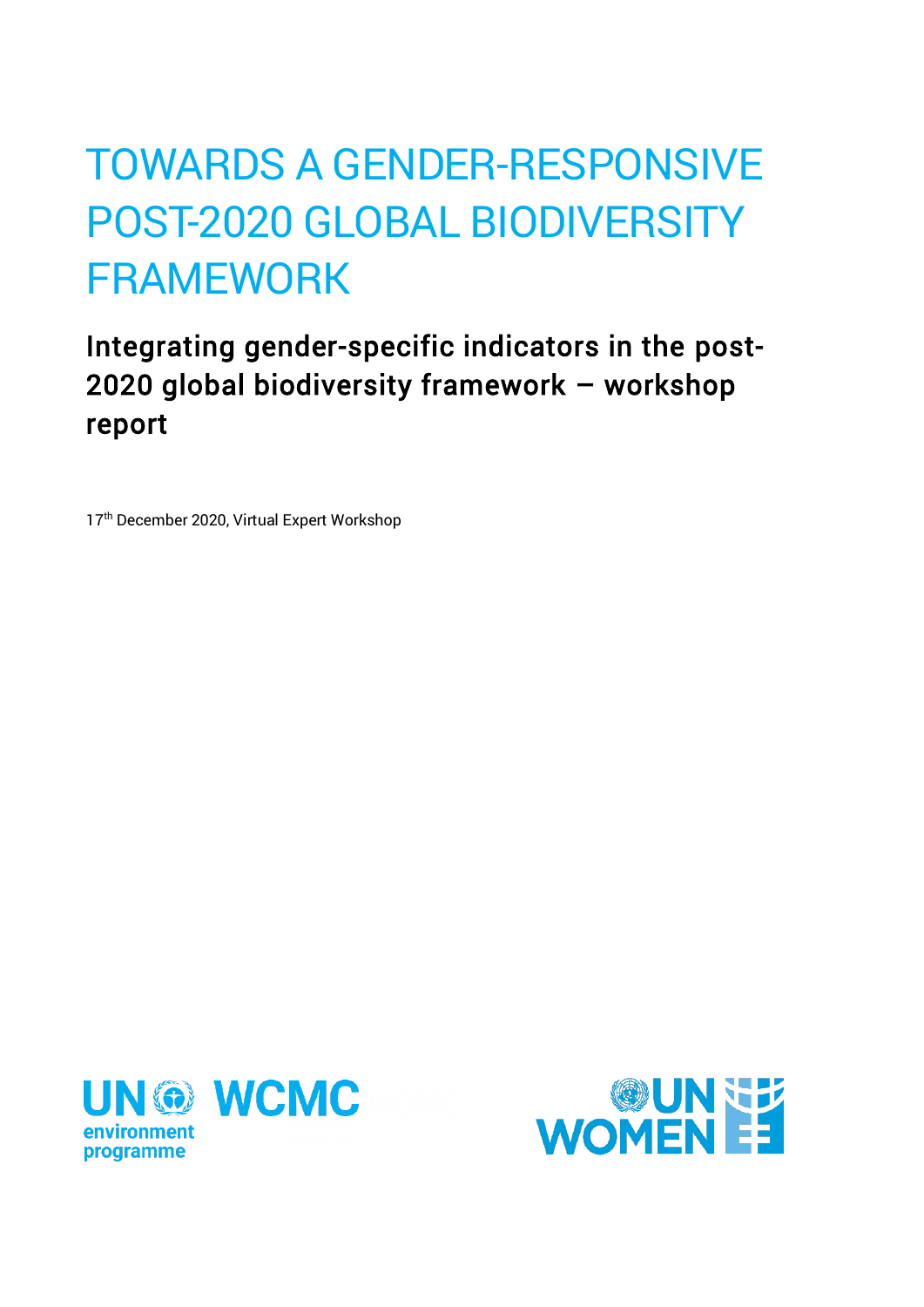# POST-2020 GLOBAL BIODIVERSITY TOWARDS A GENDER-RESPONSIVE FRAMEWORK

Integrating gender-specific indicators in the post-2020 global biodiversity framework – workshop report

17<sup>th</sup> December 2020, Virtual Expert Workshop



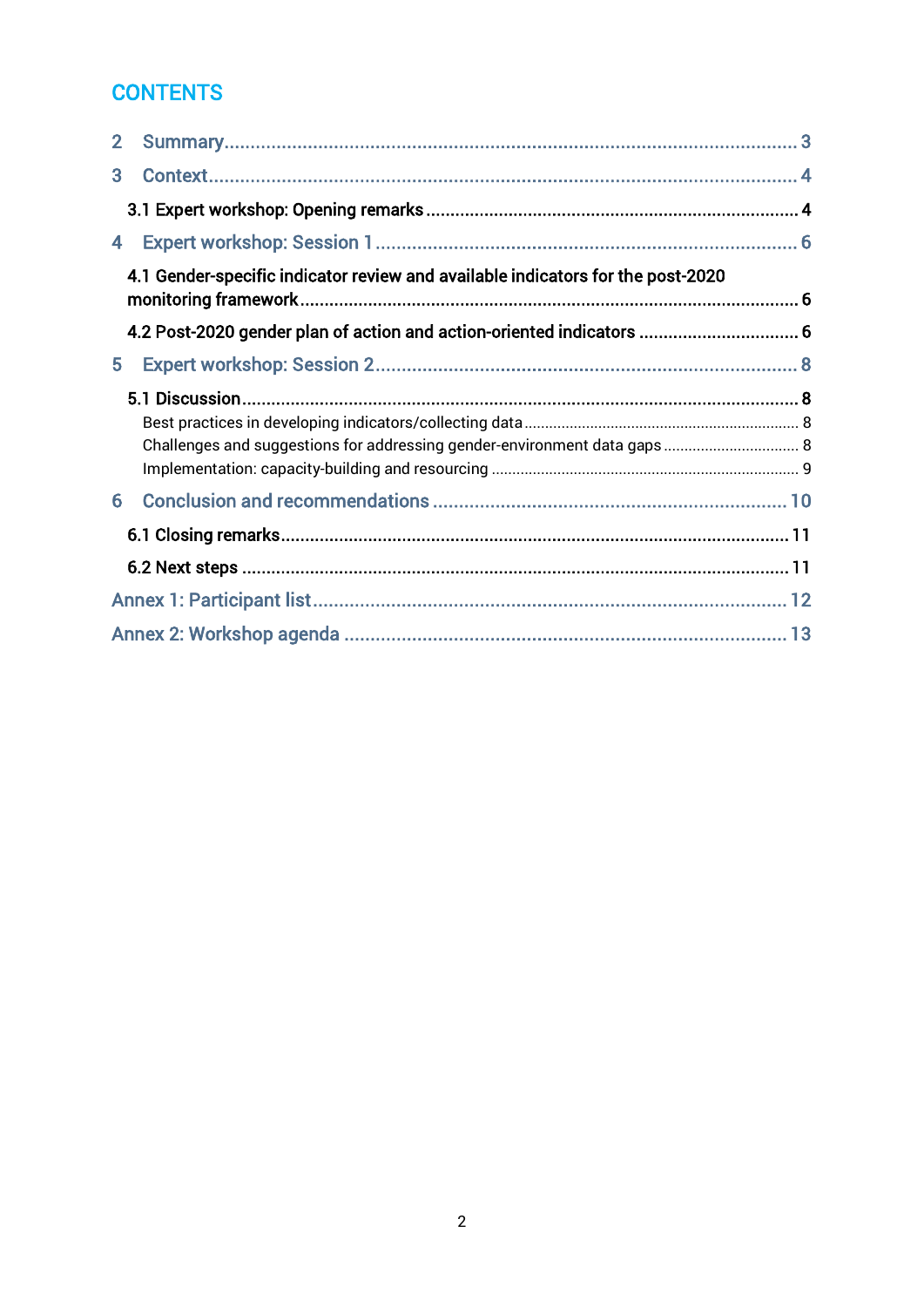### **CONTENTS**

| $\overline{2}$ |                                                                                 |  |
|----------------|---------------------------------------------------------------------------------|--|
| 3              |                                                                                 |  |
|                |                                                                                 |  |
| 4              |                                                                                 |  |
|                | 4.1 Gender-specific indicator review and available indicators for the post-2020 |  |
|                | 4.2 Post-2020 gender plan of action and action-oriented indicators  6           |  |
| 5              |                                                                                 |  |
|                |                                                                                 |  |
|                |                                                                                 |  |
|                |                                                                                 |  |
| 6              |                                                                                 |  |
|                |                                                                                 |  |
|                |                                                                                 |  |
|                |                                                                                 |  |
|                |                                                                                 |  |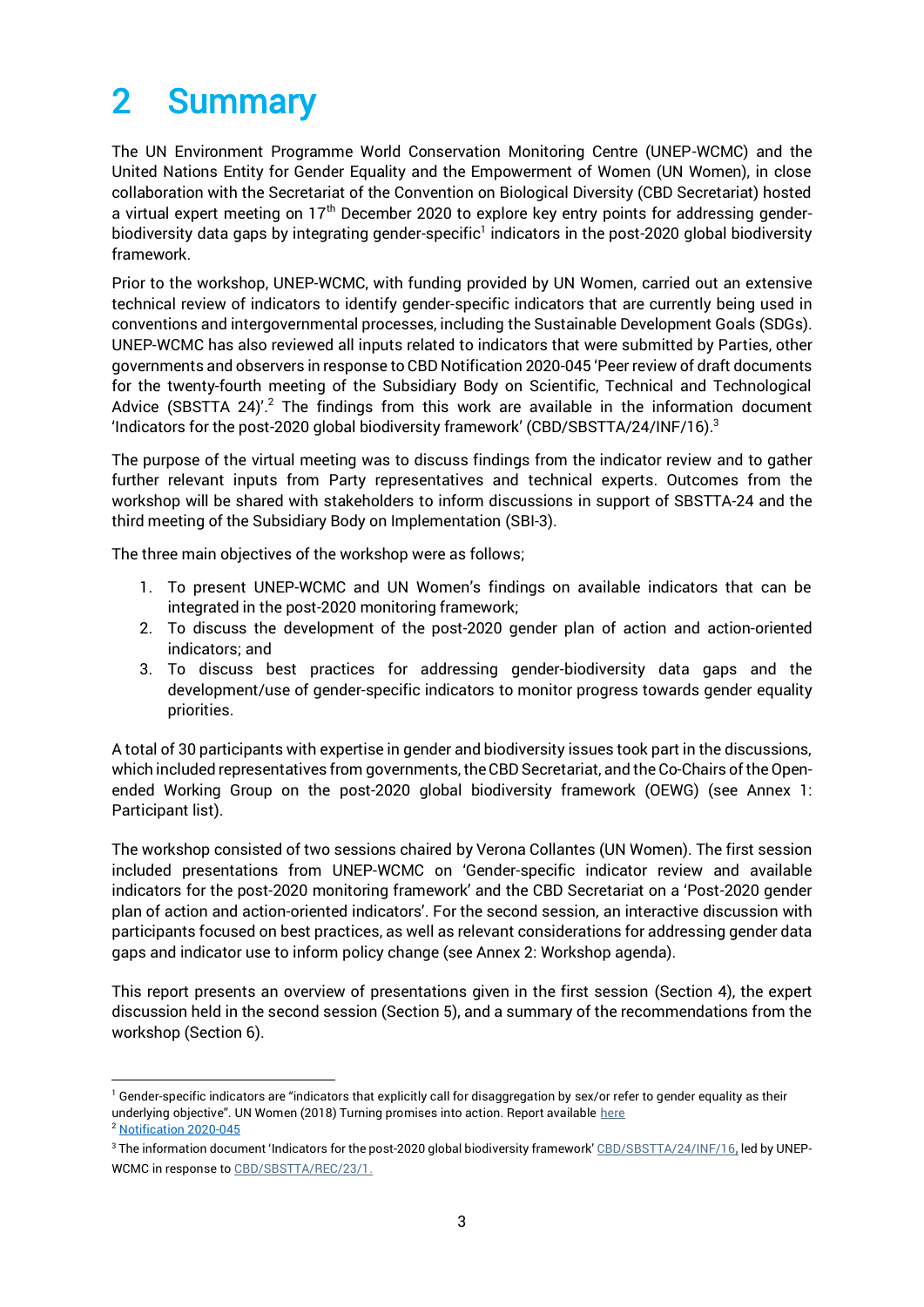## <span id="page-2-0"></span>2 Summary

The UN Environment Programme World Conservation Monitoring Centre (UNEP-WCMC) and the United Nations Entity for Gender Equality and the Empowerment of Women (UN Women), in close collaboration with the Secretariat of the Convention on Biological Diversity (CBD Secretariat) hosted a virtual expert meeting on  $17<sup>th</sup>$  December 2020 to explore key entry points for addressing genderbiodiversity data gaps by integrating gender-specific<sup>1</sup> indicators in the post-2020 global biodiversity framework.

Prior to the workshop, UNEP-WCMC, with funding provided by UN Women, carried out an extensive technical review of indicators to identify gender-specific indicators that are currently being used in conventions and intergovernmental processes, including the Sustainable Development Goals (SDGs). UNEP-WCMC has also reviewed all inputs related to indicators that were submitted by Parties, other governments and observers in response to CBD Notification 2020-045 'Peer review of draft documents for the twenty-fourth meeting of the Subsidiary Body on Scientific, Technical and Technological Advice (SBSTTA 24)<sup>'.2</sup> The findings from this work are available in the information document 'Indicators for the post-2020 global biodiversity framework' (CBD/SBSTTA/24/INF/16). $^3$ 

The purpose of the virtual meeting was to discuss findings from the indicator review and to gather further relevant inputs from Party representatives and technical experts. Outcomes from the workshop will be shared with stakeholders to inform discussions in support of SBSTTA-24 and the third meeting of the Subsidiary Body on Implementation (SBI-3).

The three main objectives of the workshop were as follows;

- 1. To present UNEP-WCMC and UN Women's findings on available indicators that can be integrated in the post-2020 monitoring framework;
- 2. To discuss the development of the post-2020 gender plan of action and action-oriented indicators; and
- 3. To discuss best practices for addressing gender-biodiversity data gaps and the development/use of gender-specific indicators to monitor progress towards gender equality priorities.

A total of 30 participants with expertise in gender and biodiversity issues took part in the discussions, which included representatives from governments, the CBD Secretariat, and the Co-Chairs of the Openended Working Group on the post-2020 global biodiversity framework (OEWG) (see Annex 1: Participant list).

The workshop consisted of two sessions chaired by Verona Collantes (UN Women). The first session included presentations from UNEP-WCMC on 'Gender-specific indicator review and available indicators for the post-2020 monitoring framework' and the CBD Secretariat on a 'Post-2020 gender plan of action and action-oriented indicators'. For the second session, an interactive discussion with participants focused on best practices, as well as relevant considerations for addressing gender data gaps and indicator use to inform policy change (see Annex 2: Workshop agenda).

This report presents an overview of presentations given in the first session (Section 4), the expert discussion held in the second session (Section 5), and a summary of the recommendations from the workshop (Section 6).

<sup>&</sup>lt;sup>1</sup> Gender-specific indicators are "indicators that explicitly call for disaggregation by sex/or refer to gender equality as their underlying objective". UN Women (2018) Turning promises into action. Report available [here](https://www.unwomen.org/-/media/headquarters/attachments/sections/library/publications/2018/sdg-report-gender-equality-in-the-2030-agenda-for-sustainable-development-2018-en.pdf?la=en&vs=4332) <sup>2</sup> [Notification 2020-045](https://www.cbd.int/conferences/post2020/submissions/2020-045)

<sup>&</sup>lt;sup>3</sup> The information document 'Indicators for the post-2020 global biodiversity framework' [CBD/SBSTTA/24/INF/16](https://www.cbd.int/doc/c/a6d3/3108/88518eab9c9d12b1c418398d/sbstta-24-inf-16-en.pdf), led by UNEP-WCMC in response to [CBD/SBSTTA/REC/23/1.](https://www.cbd.int/doc/recommendations/sbstta-23/sbstta-23-rec-01-en.pdf)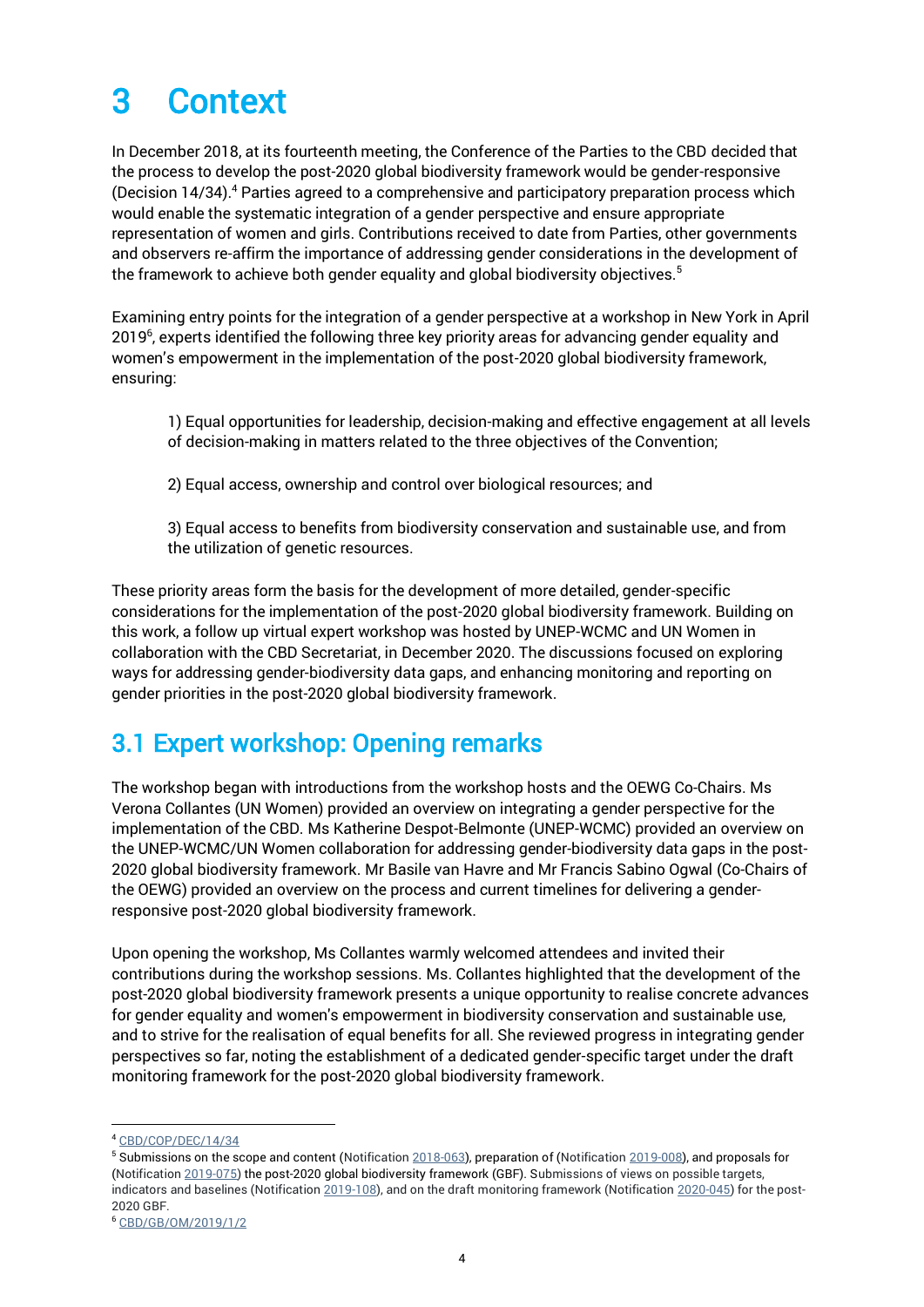## <span id="page-3-0"></span>3 Context

In December 2018, at its fourteenth meeting, the Conference of the Parties to the CBD decided that the process to develop the post-2020 global biodiversity framework would be gender-responsive (Decision 14/34).<sup>4</sup> Parties agreed to a comprehensive and participatory preparation process which would enable the systematic integration of a gender perspective and ensure appropriate representation of women and girls. Contributions received to date from Parties, other governments and observers re-affirm the importance of addressing gender considerations in the development of the framework to achieve both gender equality and global biodiversity objectives. $5$ 

Examining entry points for the integration of a gender perspective at a workshop in New York in April 2019<sup>6</sup>, experts identified the following three key priority areas for advancing gender equality and women's empowerment in the implementation of the post-2020 global biodiversity framework, ensuring:

1) Equal opportunities for leadership, decision-making and effective engagement at all levels of decision-making in matters related to the three objectives of the Convention;

2) Equal access, ownership and control over biological resources; and

3) Equal access to benefits from biodiversity conservation and sustainable use, and from the utilization of genetic resources.

These priority areas form the basis for the development of more detailed, gender-specific considerations for the implementation of the post-2020 global biodiversity framework. Building on this work, a follow up virtual expert workshop was hosted by UNEP-WCMC and UN Women in collaboration with the CBD Secretariat, in December 2020. The discussions focused on exploring ways for addressing gender-biodiversity data gaps, and enhancing monitoring and reporting on gender priorities in the post-2020 global biodiversity framework.

### <span id="page-3-1"></span>3.1 Expert workshop: Opening remarks

The workshop began with introductions from the workshop hosts and the OEWG Co-Chairs. Ms Verona Collantes (UN Women) provided an overview on integrating a gender perspective for the implementation of the CBD. Ms Katherine Despot-Belmonte (UNEP-WCMC) provided an overview on the UNEP-WCMC/UN Women collaboration for addressing gender-biodiversity data gaps in the post-2020 global biodiversity framework. Mr Basile van Havre and Mr Francis Sabino Ogwal (Co-Chairs of the OEWG) provided an overview on the process and current timelines for delivering a genderresponsive post-2020 global biodiversity framework.

Upon opening the workshop, Ms Collantes warmly welcomed attendees and invited their contributions during the workshop sessions. Ms. Collantes highlighted that the development of the post-2020 global biodiversity framework presents a unique opportunity to realise concrete advances for gender equality and women's empowerment in biodiversity conservation and sustainable use, and to strive for the realisation of equal benefits for all. She reviewed progress in integrating gender perspectives so far, noting the establishment of a dedicated gender-specific target under the draft monitoring framework for the post-2020 global biodiversity framework.

<sup>4</sup> [CBD/COP/DEC/14/34](https://www.cbd.int/doc/decisions/cop-14/cop-14-dec-34-en.pdf)

<sup>&</sup>lt;sup>5</sup> Submissions on the scope and content (Notification [2018-063\)](https://www.cbd.int/doc/notifications/2018/ntf-2018-063-post2020-en.pdf), preparation of [\(Notification 2019-008\)](https://www.cbd.int/conferences/post2020/submissions/2019-008), and proposals for [\(Notification 2019-075\)](https://www.cbd.int/doc/notifications/2019/ntf-2019-075-post2020-en.pdf) the post-2020 global biodiversity framework (GBF). Submissions of views on possible targets, indicators and baselines [\(Notification 2019-108\)](https://www.cbd.int/doc/notifications/2019/ntf-2019-108-post2020-en.pdf), and on the draft monitoring framework (Notification [2020-045\)](https://www.cbd.int/conferences/post2020/submissions/2020-045) for the post-2020 GBF.

<sup>6</sup> [CBD/GB/OM/2019/1/2](https://www.cbd.int/doc/c/423f/a276/206bc2751c07658af8fa1a4a/gb-om-2019-01-02-en.pdf)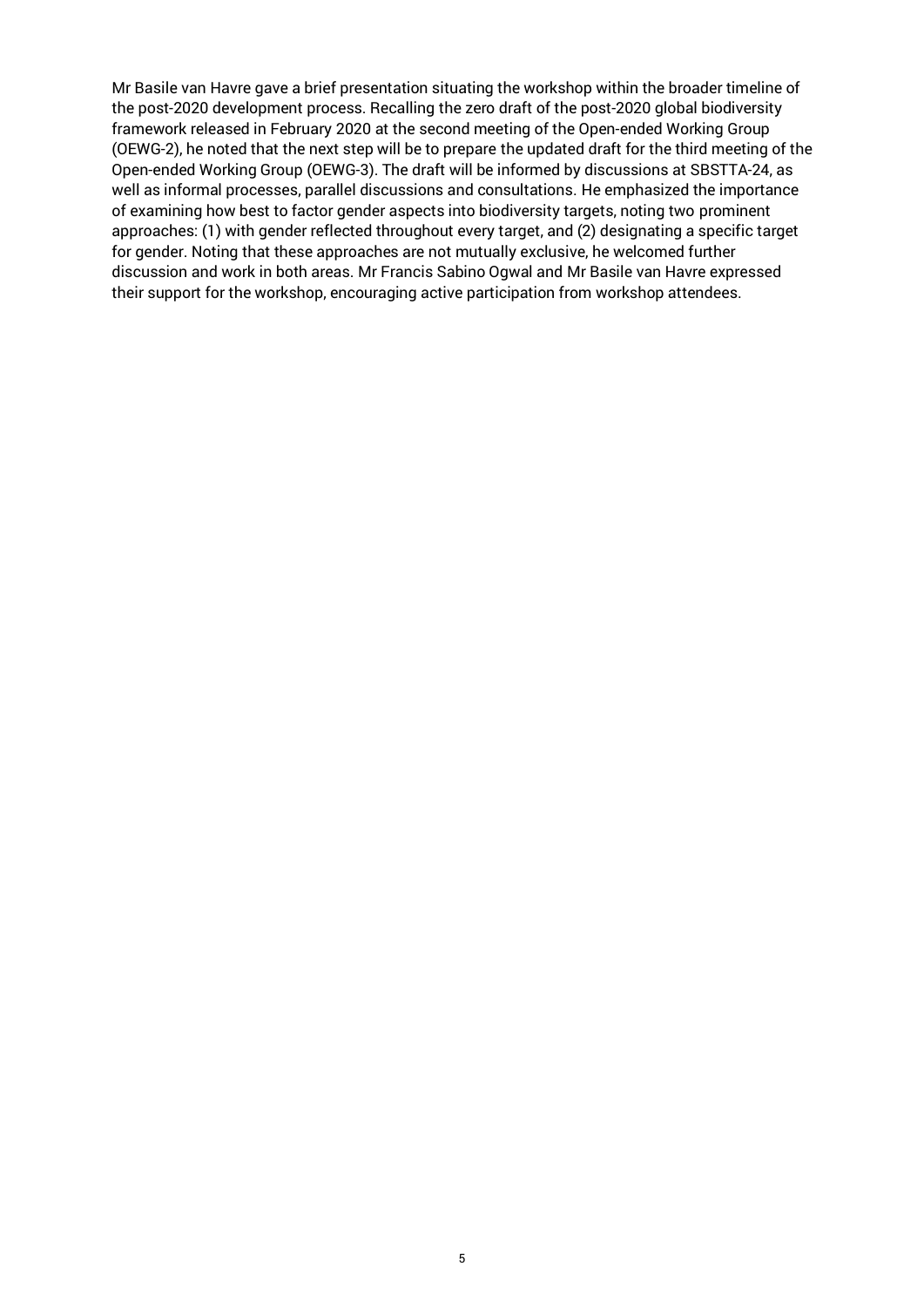Mr Basile van Havre gave a brief presentation situating the workshop within the broader timeline of the post-2020 development process. Recalling the zero draft of the post-2020 global biodiversity framework released in February 2020 at the second meeting of the Open-ended Working Group (OEWG-2), he noted that the next step will be to prepare the updated draft for the third meeting of the Open-ended Working Group (OEWG-3). The draft will be informed by discussions at SBSTTA-24, as well as informal processes, parallel discussions and consultations. He emphasized the importance of examining how best to factor gender aspects into biodiversity targets, noting two prominent approaches: (1) with gender reflected throughout every target, and (2) designating a specific target for gender. Noting that these approaches are not mutually exclusive, he welcomed further discussion and work in both areas. Mr Francis Sabino Ogwal and Mr Basile van Havre expressed their support for the workshop, encouraging active participation from workshop attendees.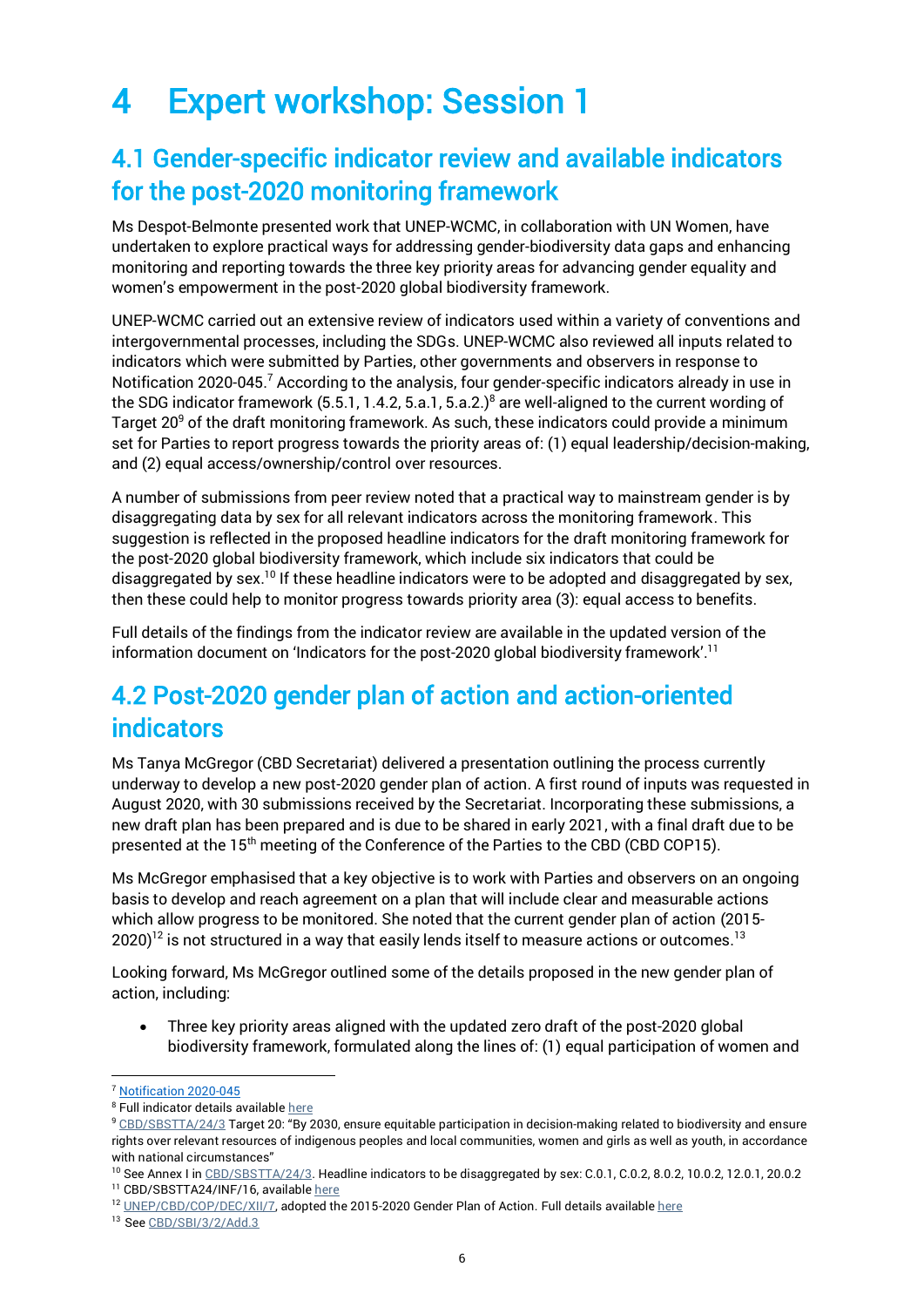## <span id="page-5-0"></span>4 Expert workshop: Session 1

### <span id="page-5-1"></span>4.1 Gender-specific indicator review and available indicators for the post-2020 monitoring framework

Ms Despot-Belmonte presented work that UNEP-WCMC, in collaboration with UN Women, have undertaken to explore practical ways for addressing gender-biodiversity data gaps and enhancing monitoring and reporting towards the three key priority areas for advancing gender equality and women's empowerment in the post-2020 global biodiversity framework.

UNEP-WCMC carried out an extensive review of indicators used within a variety of conventions and intergovernmental processes, including the SDGs. UNEP-WCMC also reviewed all inputs related to indicators which were submitted by Parties, other governments and observers in response to Notification 2020-045.<sup>7</sup> According to the analysis, four gender-specific indicators already in use in the SDG indicator framework  $(5.5.1, 1.4.2, 5.a.1, 5.a.2.)^8$  are well-aligned to the current wording of Target 20<sup>9</sup> of the draft monitoring framework. As such, these indicators could provide a minimum set for Parties to report progress towards the priority areas of: (1) equal leadership/decision-making, and (2) equal access/ownership/control over resources.

A number of submissions from peer review noted that a practical way to mainstream gender is by disaggregating data by sex for all relevant indicators across the monitoring framework. This suggestion is reflected in the proposed headline indicators for the draft monitoring framework for the post-2020 global biodiversity framework, which include six indicators that could be disaggregated by sex.<sup>10</sup> If these headline indicators were to be adopted and disaggregated by sex, then these could help to monitor progress towards priority area (3): equal access to benefits.

Full details of the findings from the indicator review are available in the updated version of the information document on 'Indicators for the post-2020 global biodiversity framework'. 11

## <span id="page-5-2"></span>4.2 Post-2020 gender plan of action and action-oriented indicators

Ms Tanya McGregor (CBD Secretariat) delivered a presentation outlining the process currently underway to develop a new post-2020 gender plan of action. A first round of inputs was requested in August 2020, with 30 submissions received by the Secretariat. Incorporating these submissions, a new draft plan has been prepared and is due to be shared in early 2021, with a final draft due to be presented at the 15th meeting of the Conference of the Parties to the CBD (CBD COP15).

Ms McGregor emphasised that a key objective is to work with Parties and observers on an ongoing basis to develop and reach agreement on a plan that will include clear and measurable actions which allow progress to be monitored. She noted that the current gender plan of action (2015- 2020) $^{12}$  is not structured in a way that easily lends itself to measure actions or outcomes.  $^{13}$ 

Looking forward, Ms McGregor outlined some of the details proposed in the new gender plan of action, including:

• Three key priority areas aligned with the updated zero draft of the post-2020 global biodiversity framework, formulated along the lines of: (1) equal participation of women and

<sup>7</sup> [Notification 2020-045](https://www.cbd.int/conferences/post2020/submissions/2020-045)

<sup>&</sup>lt;sup>8</sup> Full indicator details available [here](https://unstats.un.org/sdgs/indicators)

<sup>9</sup> [CBD/SBSTTA/24/3](https://www.cbd.int/doc/c/8e95/2d27/2a226d32d59cd705e119b5a6/sbstta-24-03-en.pdf) Target 20: "By 2030, ensure equitable participation in decision-making related to biodiversity and ensure rights over relevant resources of indigenous peoples and local communities, women and girls as well as youth, in accordance with national circumstances"

<sup>&</sup>lt;sup>10</sup> See Annex I i[n CBD/SBSTTA/24/3.](https://www.cbd.int/doc/c/8e95/2d27/2a226d32d59cd705e119b5a6/sbstta-24-03-en.pdf) Headline indicators to be disaggregated by sex: C.0.1, C.0.2, 8.0.2, 10.0.2, 12.0.1, 20.0.2

<sup>&</sup>lt;sup>11</sup> CBD/SBSTTA24/INF/16, availabl[e here](https://www.cbd.int/doc/c/a6d3/3108/88518eab9c9d12b1c418398d/sbstta-24-inf-16-en.pdf)

<sup>&</sup>lt;sup>12</sup> [UNEP/CBD/COP/DEC/XII/7,](https://www.cbd.int/doc/decisions/cop-12/cop-12-dec-07-en.pdf) adopted the 2015-2020 Gender Plan of Action. Full details availabl[e here](https://www.cbd.int/gender/action-plan/)

<sup>13</sup> See [CBD/SBI/3/2/Add.3](https://www.cbd.int/doc/c/2a29/307a/3235fdabd9edd01b9576e42b/sbi-03-02-add3-en.pdf)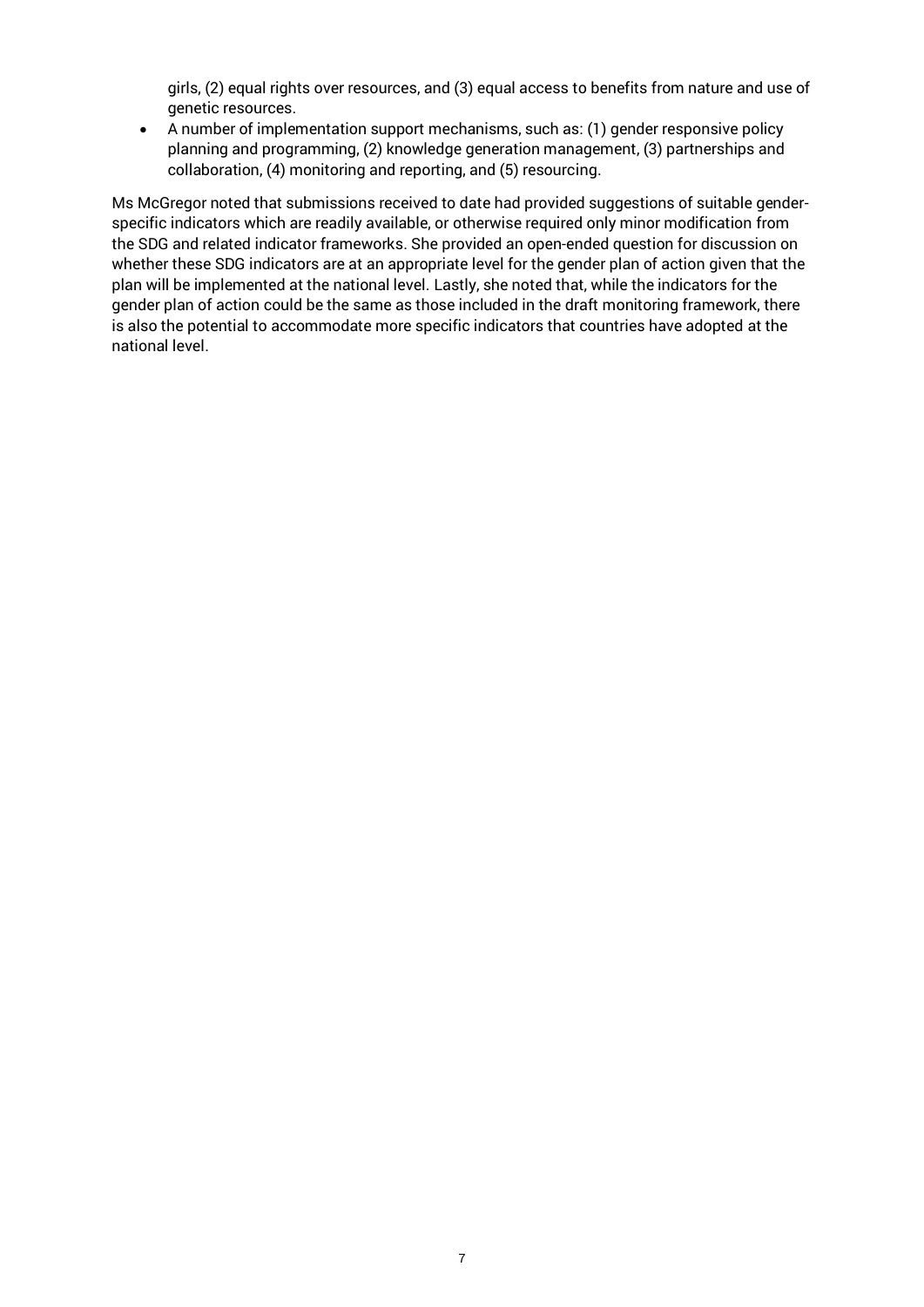girls, (2) equal rights over resources, and (3) equal access to benefits from nature and use of genetic resources.

• A number of implementation support mechanisms, such as: (1) gender responsive policy planning and programming, (2) knowledge generation management, (3) partnerships and collaboration, (4) monitoring and reporting, and (5) resourcing.

Ms McGregor noted that submissions received to date had provided suggestions of suitable genderspecific indicators which are readily available, or otherwise required only minor modification from the SDG and related indicator frameworks. She provided an open-ended question for discussion on whether these SDG indicators are at an appropriate level for the gender plan of action given that the plan will be implemented at the national level. Lastly, she noted that, while the indicators for the gender plan of action could be the same as those included in the draft monitoring framework, there is also the potential to accommodate more specific indicators that countries have adopted at the national level.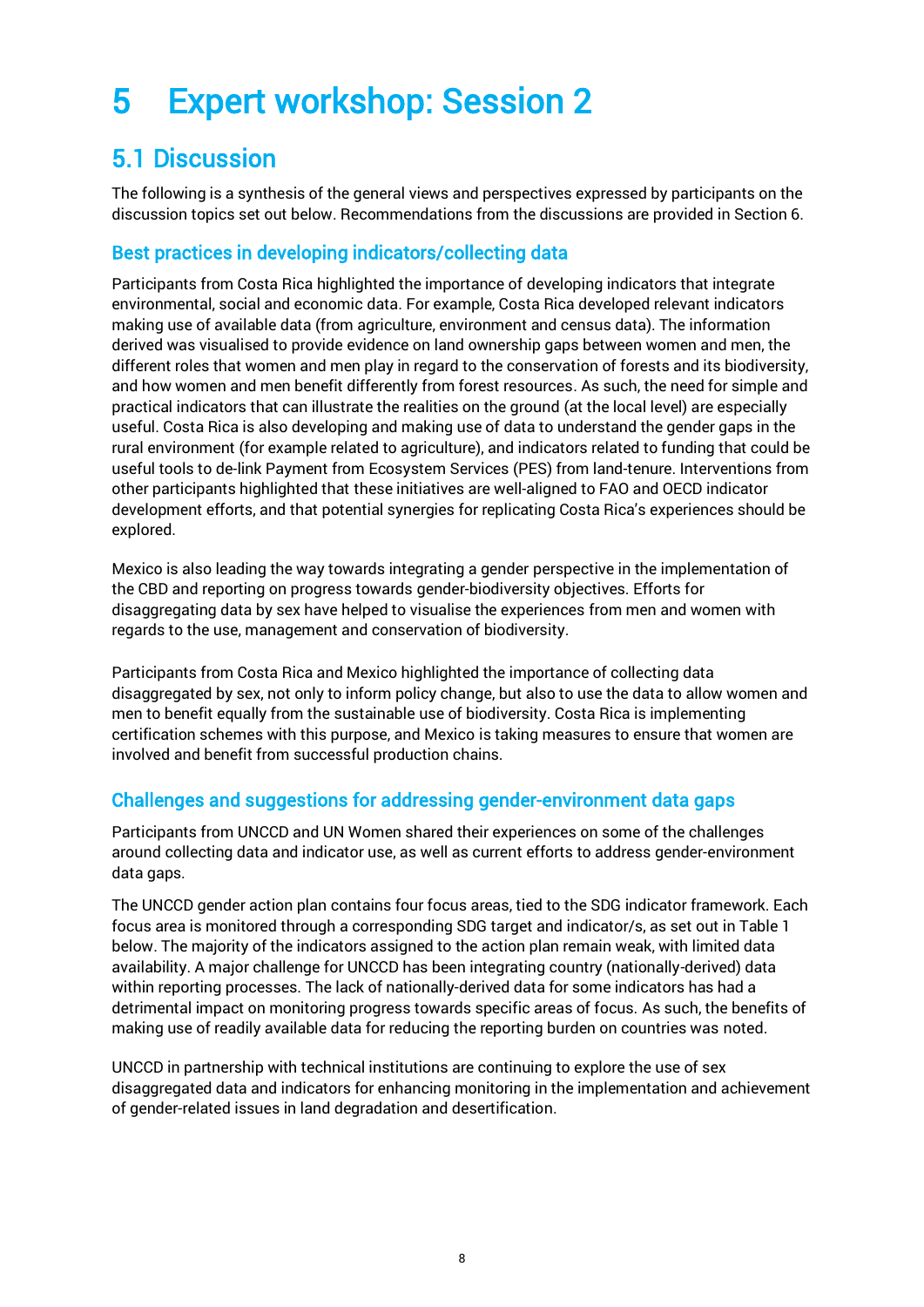## <span id="page-7-0"></span>5 Expert workshop: Session 2

## <span id="page-7-1"></span>5.1 Discussion

The following is a synthesis of the general views and perspectives expressed by participants on the discussion topics set out below. Recommendations from the discussions are provided in Section 6.

#### <span id="page-7-2"></span>Best practices in developing indicators/collecting data

Participants from Costa Rica highlighted the importance of developing indicators that integrate environmental, social and economic data. For example, Costa Rica developed relevant indicators making use of available data (from agriculture, environment and census data). The information derived was visualised to provide evidence on land ownership gaps between women and men, the different roles that women and men play in regard to the conservation of forests and its biodiversity, and how women and men benefit differently from forest resources. As such, the need for simple and practical indicators that can illustrate the realities on the ground (at the local level) are especially useful. Costa Rica is also developing and making use of data to understand the gender gaps in the rural environment (for example related to agriculture), and indicators related to funding that could be useful tools to de-link Payment from Ecosystem Services (PES) from land-tenure. Interventions from other participants highlighted that these initiatives are well-aligned to FAO and OECD indicator development efforts, and that potential synergies for replicating Costa Rica's experiences should be explored.

Mexico is also leading the way towards integrating a gender perspective in the implementation of the CBD and reporting on progress towards gender-biodiversity objectives. Efforts for disaggregating data by sex have helped to visualise the experiences from men and women with regards to the use, management and conservation of biodiversity.

Participants from Costa Rica and Mexico highlighted the importance of collecting data disaggregated by sex, not only to inform policy change, but also to use the data to allow women and men to benefit equally from the sustainable use of biodiversity. Costa Rica is implementing certification schemes with this purpose, and Mexico is taking measures to ensure that women are involved and benefit from successful production chains.

#### <span id="page-7-3"></span>Challenges and suggestions for addressing gender-environment data gaps

Participants from UNCCD and UN Women shared their experiences on some of the challenges around collecting data and indicator use, as well as current efforts to address gender-environment data gaps.

The UNCCD gender action plan contains four focus areas, tied to the SDG indicator framework. Each focus area is monitored through a corresponding SDG target and indicator/s, as set out in Table 1 below. The majority of the indicators assigned to the action plan remain weak, with limited data availability. A major challenge for UNCCD has been integrating country (nationally-derived) data within reporting processes. The lack of nationally-derived data for some indicators has had a detrimental impact on monitoring progress towards specific areas of focus. As such, the benefits of making use of readily available data for reducing the reporting burden on countries was noted.

UNCCD in partnership with technical institutions are continuing to explore the use of sex disaggregated data and indicators for enhancing monitoring in the implementation and achievement of gender-related issues in land degradation and desertification.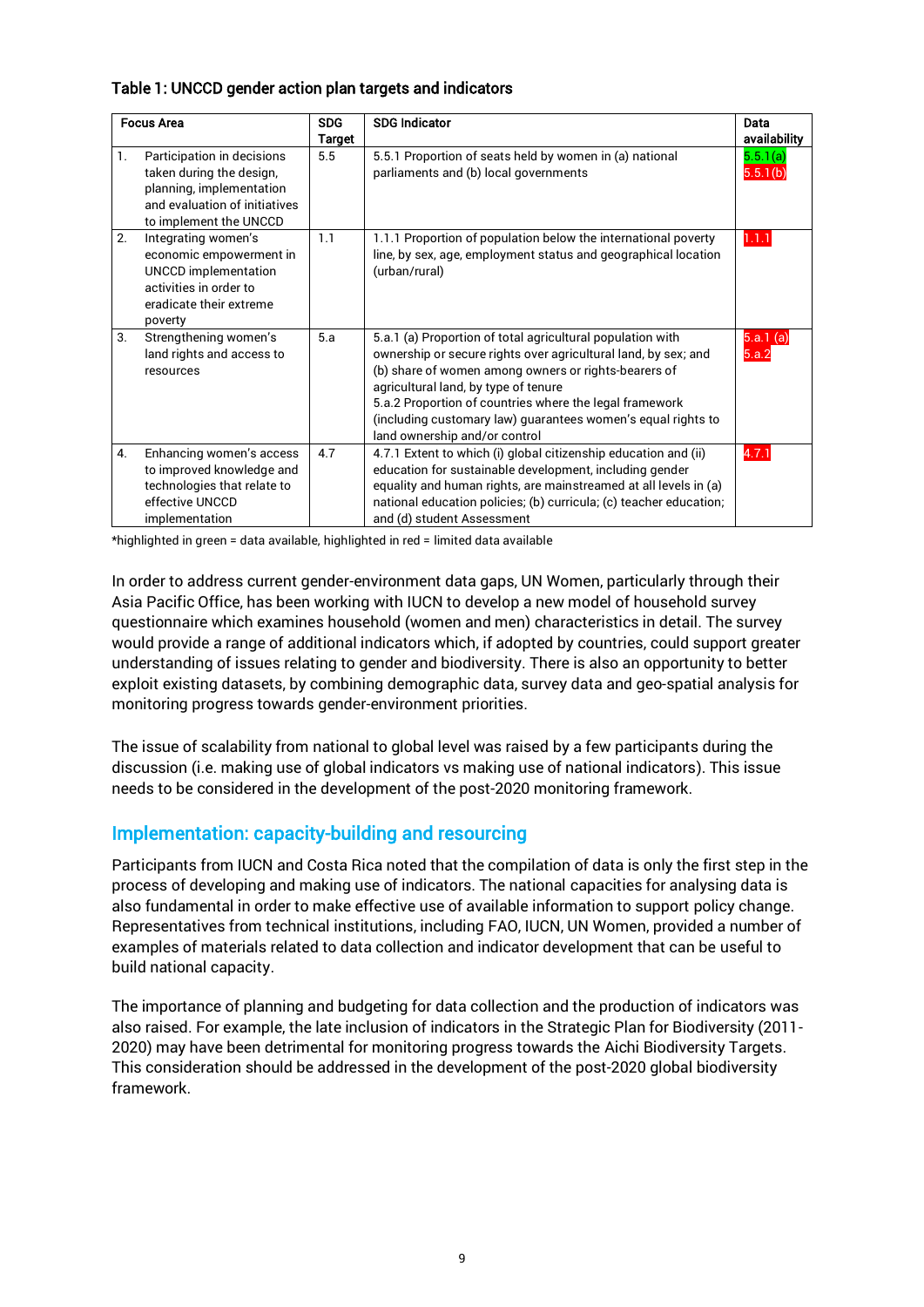#### Table 1: UNCCD gender action plan targets and indicators

| <b>Focus Area</b> |                                                                                                                                               | <b>SDG</b><br>Target | <b>SDG Indicator</b>                                                                                                                                                                                                                                                                                                                                                                     | Data<br>availability              |
|-------------------|-----------------------------------------------------------------------------------------------------------------------------------------------|----------------------|------------------------------------------------------------------------------------------------------------------------------------------------------------------------------------------------------------------------------------------------------------------------------------------------------------------------------------------------------------------------------------------|-----------------------------------|
| 1.                | Participation in decisions<br>taken during the design,<br>planning, implementation<br>and evaluation of initiatives<br>to implement the UNCCD | 5.5                  | 5.5.1 Proportion of seats held by women in (a) national<br>parliaments and (b) local governments                                                                                                                                                                                                                                                                                         | 5.5.1(a)<br>$5.\overline{5.1(b)}$ |
| 2.                | Integrating women's<br>economic empowerment in<br><b>UNCCD</b> implementation<br>activities in order to<br>eradicate their extreme<br>poverty | 1.1                  | 1.1.1 Proportion of population below the international poverty<br>line, by sex, age, employment status and geographical location<br>(urban/rural)                                                                                                                                                                                                                                        | 1.1.1                             |
| 3.                | Strengthening women's<br>land rights and access to<br>resources                                                                               | 5.a                  | 5.a.1 (a) Proportion of total agricultural population with<br>ownership or secure rights over agricultural land, by sex; and<br>(b) share of women among owners or rights-bearers of<br>agricultural land, by type of tenure<br>5.a.2 Proportion of countries where the legal framework<br>(including customary law) quarantees women's equal rights to<br>land ownership and/or control | 5.a.1(a)<br>5.a.2                 |
| 4.                | Enhancing women's access<br>to improved knowledge and<br>technologies that relate to<br>effective UNCCD<br>implementation                     | 4.7                  | 4.7.1 Extent to which (i) global citizenship education and (ii)<br>education for sustainable development, including gender<br>equality and human rights, are mainstreamed at all levels in (a)<br>national education policies; (b) curricula; (c) teacher education;<br>and (d) student Assessment                                                                                       | 4.7.1                             |

\*highlighted in green = data available, highlighted in red = limited data available

In order to address current gender-environment data gaps, UN Women, particularly through their Asia Pacific Office, has been working with IUCN to develop a new model of household survey questionnaire which examines household (women and men) characteristics in detail. The survey would provide a range of additional indicators which, if adopted by countries, could support greater understanding of issues relating to gender and biodiversity. There is also an opportunity to better exploit existing datasets, by combining demographic data, survey data and geo-spatial analysis for monitoring progress towards gender-environment priorities.

The issue of scalability from national to global level was raised by a few participants during the discussion (i.e. making use of global indicators vs making use of national indicators). This issue needs to be considered in the development of the post-2020 monitoring framework.

#### <span id="page-8-0"></span>Implementation: capacity-building and resourcing

Participants from IUCN and Costa Rica noted that the compilation of data is only the first step in the process of developing and making use of indicators. The national capacities for analysing data is also fundamental in order to make effective use of available information to support policy change. Representatives from technical institutions, including FAO, IUCN, UN Women, provided a number of examples of materials related to data collection and indicator development that can be useful to build national capacity.

The importance of planning and budgeting for data collection and the production of indicators was also raised. For example, the late inclusion of indicators in the Strategic Plan for Biodiversity (2011- 2020) may have been detrimental for monitoring progress towards the Aichi Biodiversity Targets. This consideration should be addressed in the development of the post-2020 global biodiversity framework.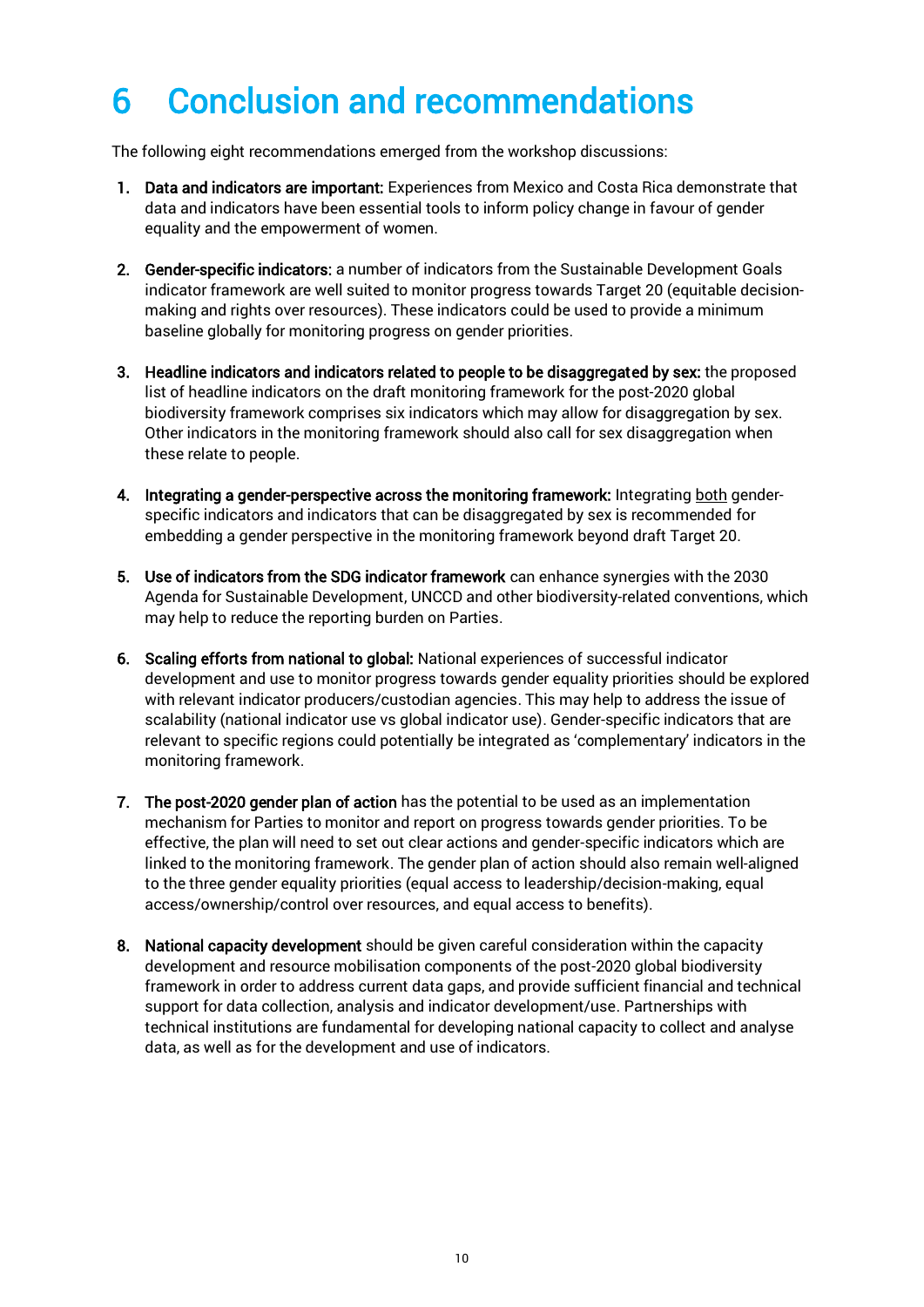## <span id="page-9-0"></span>6 Conclusion and recommendations

The following eight recommendations emerged from the workshop discussions:

- 1. Data and indicators are important: Experiences from Mexico and Costa Rica demonstrate that data and indicators have been essential tools to inform policy change in favour of gender equality and the empowerment of women.
- 2. Gender-specific indicators: a number of indicators from the Sustainable Development Goals indicator framework are well suited to monitor progress towards Target 20 (equitable decisionmaking and rights over resources). These indicators could be used to provide a minimum baseline globally for monitoring progress on gender priorities.
- 3. Headline indicators and indicators related to people to be disaggregated by sex: the proposed list of headline indicators on the draft monitoring framework for the post-2020 global biodiversity framework comprises six indicators which may allow for disaggregation by sex. Other indicators in the monitoring framework should also call for sex disaggregation when these relate to people.
- 4. Integrating a gender-perspective across the monitoring framework: Integrating both genderspecific indicators and indicators that can be disaggregated by sex is recommended for embedding a gender perspective in the monitoring framework beyond draft Target 20.
- 5. Use of indicators from the SDG indicator framework can enhance synergies with the 2030 Agenda for Sustainable Development, UNCCD and other biodiversity-related conventions, which may help to reduce the reporting burden on Parties.
- 6. Scaling efforts from national to global: National experiences of successful indicator development and use to monitor progress towards gender equality priorities should be explored with relevant indicator producers/custodian agencies. This may help to address the issue of scalability (national indicator use vs global indicator use). Gender-specific indicators that are relevant to specific regions could potentially be integrated as 'complementary' indicators in the monitoring framework.
- 7. The post-2020 gender plan of action has the potential to be used as an implementation mechanism for Parties to monitor and report on progress towards gender priorities. To be effective, the plan will need to set out clear actions and gender-specific indicators which are linked to the monitoring framework. The gender plan of action should also remain well-aligned to the three gender equality priorities (equal access to leadership/decision-making, equal access/ownership/control over resources, and equal access to benefits).
- 8. National capacity development should be given careful consideration within the capacity development and resource mobilisation components of the post-2020 global biodiversity framework in order to address current data gaps, and provide sufficient financial and technical support for data collection, analysis and indicator development/use. Partnerships with technical institutions are fundamental for developing national capacity to collect and analyse data, as well as for the development and use of indicators.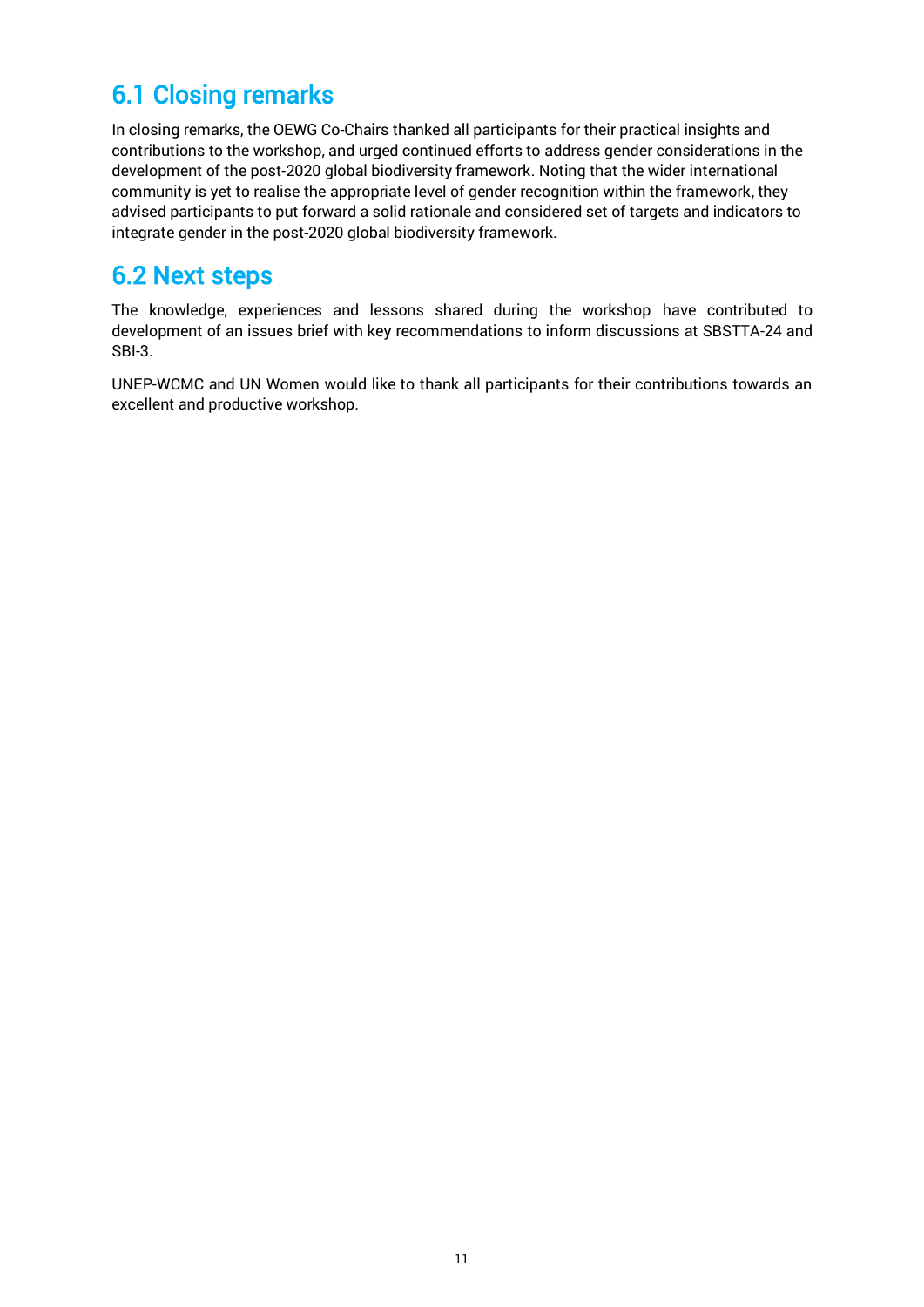### <span id="page-10-0"></span>6.1 Closing remarks

In closing remarks, the OEWG Co-Chairs thanked all participants for their practical insights and contributions to the workshop, and urged continued efforts to address gender considerations in the development of the post-2020 global biodiversity framework. Noting that the wider international community is yet to realise the appropriate level of gender recognition within the framework, they advised participants to put forward a solid rationale and considered set of targets and indicators to integrate gender in the post-2020 global biodiversity framework.

### <span id="page-10-1"></span>6.2 Next steps

The knowledge, experiences and lessons shared during the workshop have contributed to development of an issues brief with key recommendations to inform discussions at SBSTTA-24 and SBI-3.

UNEP-WCMC and UN Women would like to thank all participants for their contributions towards an excellent and productive workshop.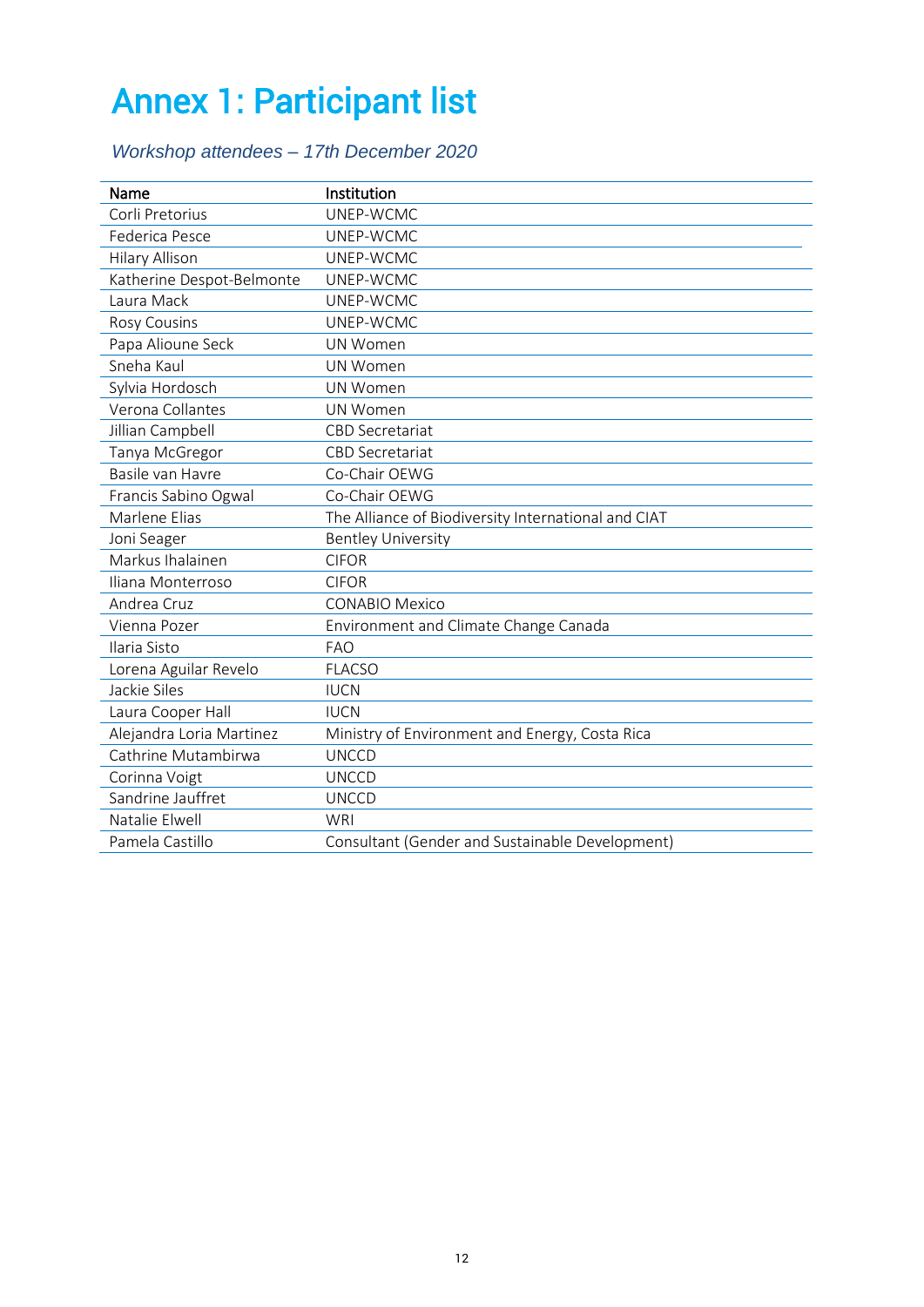## <span id="page-11-0"></span>Annex 1: Participant list

### *Workshop attendees – 17th December 2020*

| Name                      | Institution                                         |
|---------------------------|-----------------------------------------------------|
| Corli Pretorius           | UNEP-WCMC                                           |
| Federica Pesce            | UNEP-WCMC                                           |
| <b>Hilary Allison</b>     | UNEP-WCMC                                           |
| Katherine Despot-Belmonte | UNEP-WCMC                                           |
| Laura Mack                | UNEP-WCMC                                           |
| <b>Rosy Cousins</b>       | UNEP-WCMC                                           |
| Papa Alioune Seck         | <b>UN Women</b>                                     |
| Sneha Kaul                | UN Women                                            |
| Sylvia Hordosch           | UN Women                                            |
| Verona Collantes          | UN Women                                            |
| Jillian Campbell          | <b>CBD Secretariat</b>                              |
| Tanya McGregor            | <b>CBD Secretariat</b>                              |
| Basile van Havre          | Co-Chair OEWG                                       |
| Francis Sabino Ogwal      | Co-Chair OEWG                                       |
| Marlene Elias             | The Alliance of Biodiversity International and CIAT |
| Joni Seager               | <b>Bentley University</b>                           |
| Markus Ihalainen          | <b>CIFOR</b>                                        |
| Iliana Monterroso         | <b>CIFOR</b>                                        |
| Andrea Cruz               | <b>CONABIO Mexico</b>                               |
| Vienna Pozer              | Environment and Climate Change Canada               |
| Ilaria Sisto              | <b>FAO</b>                                          |
| Lorena Aguilar Revelo     | <b>FLACSO</b>                                       |
| Jackie Siles              | <b>IUCN</b>                                         |
| Laura Cooper Hall         | <b>IUCN</b>                                         |
| Alejandra Loria Martinez  | Ministry of Environment and Energy, Costa Rica      |
| Cathrine Mutambirwa       | <b>UNCCD</b>                                        |
| Corinna Voigt             | <b>UNCCD</b>                                        |
| Sandrine Jauffret         | <b>UNCCD</b>                                        |
| Natalie Elwell            | <b>WRI</b>                                          |
| Pamela Castillo           | Consultant (Gender and Sustainable Development)     |